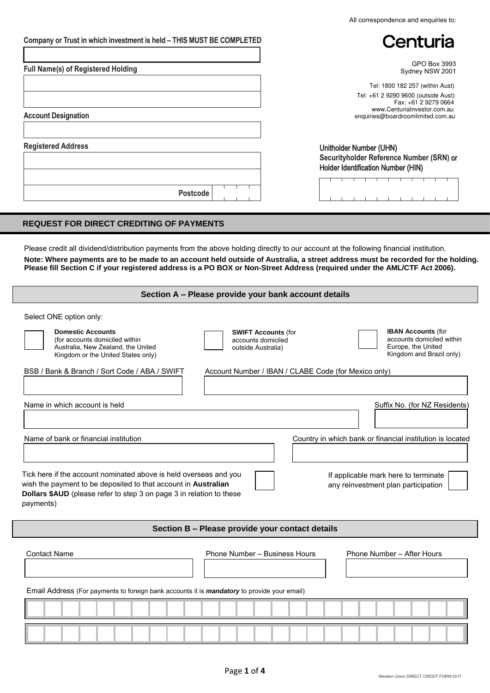| Centuria<br>GPO Box 3993<br>Sydney NSW 2001<br>Tel: 1800 182 257 (within Aust)<br>Tel: +61 2 9290 9600 (outside Aust)<br>Fax: +61 2 9279 0664<br>www.Centurialnyestor.com.au<br>enquiries@boardroomlimited.com.au<br>Unitholder Number (UHN)<br>Securityholder Reference Number (SRN) or<br>Holder Identification Number (HIN)<br><b>Postcode</b><br><b>TELESCOPE</b><br>Please credit all dividend/distribution payments from the above holding directly to our account at the following financial institution.<br>Note: Where payments are to be made to an account held outside of Australia, a street address must be recorded for the holding.<br>Please fill Section C if your registered address is a PO BOX or Non-Street Address (required under the AML/CTF Act 2006).<br>Section A - Please provide your bank account details<br>Select ONE option only:<br><b>IBAN Accounts (for</b><br><b>Domestic Accounts</b><br><b>SWIFT Accounts (for</b><br>accounts domiciled within<br>(for accounts domiciled within<br>accounts domiciled<br>Europe, the United<br>Australia, New Zealand, the United<br>outside Australia)<br>Kingdom and Brazil only)<br>Kingdom or the United States only)<br>Account Number / IBAN / CLABE Code (for Mexico only)<br>Name of bank or financial institution<br>Country in which bank or financial institution is located<br>If applicable mark here to terminate<br>any reinvestment plan participation<br>Section B - Please provide your contact details<br>Phone Number - Business Hours<br>Phone Number - After Hours<br>Email Address (For payments to foreign bank accounts it is <i>mandatory</i> to provide your email) |                                                                                                                                                                                                                          | All correspondence and enquiries to: |
|--------------------------------------------------------------------------------------------------------------------------------------------------------------------------------------------------------------------------------------------------------------------------------------------------------------------------------------------------------------------------------------------------------------------------------------------------------------------------------------------------------------------------------------------------------------------------------------------------------------------------------------------------------------------------------------------------------------------------------------------------------------------------------------------------------------------------------------------------------------------------------------------------------------------------------------------------------------------------------------------------------------------------------------------------------------------------------------------------------------------------------------------------------------------------------------------------------------------------------------------------------------------------------------------------------------------------------------------------------------------------------------------------------------------------------------------------------------------------------------------------------------------------------------------------------------------------------------------------------------------------------------------------------------------------|--------------------------------------------------------------------------------------------------------------------------------------------------------------------------------------------------------------------------|--------------------------------------|
|                                                                                                                                                                                                                                                                                                                                                                                                                                                                                                                                                                                                                                                                                                                                                                                                                                                                                                                                                                                                                                                                                                                                                                                                                                                                                                                                                                                                                                                                                                                                                                                                                                                                          | Company or Trust in which investment is held - THIS MUST BE COMPLETED                                                                                                                                                    |                                      |
|                                                                                                                                                                                                                                                                                                                                                                                                                                                                                                                                                                                                                                                                                                                                                                                                                                                                                                                                                                                                                                                                                                                                                                                                                                                                                                                                                                                                                                                                                                                                                                                                                                                                          | <b>Full Name(s) of Registered Holding</b>                                                                                                                                                                                |                                      |
|                                                                                                                                                                                                                                                                                                                                                                                                                                                                                                                                                                                                                                                                                                                                                                                                                                                                                                                                                                                                                                                                                                                                                                                                                                                                                                                                                                                                                                                                                                                                                                                                                                                                          |                                                                                                                                                                                                                          |                                      |
|                                                                                                                                                                                                                                                                                                                                                                                                                                                                                                                                                                                                                                                                                                                                                                                                                                                                                                                                                                                                                                                                                                                                                                                                                                                                                                                                                                                                                                                                                                                                                                                                                                                                          | <b>Account Designation</b>                                                                                                                                                                                               |                                      |
|                                                                                                                                                                                                                                                                                                                                                                                                                                                                                                                                                                                                                                                                                                                                                                                                                                                                                                                                                                                                                                                                                                                                                                                                                                                                                                                                                                                                                                                                                                                                                                                                                                                                          | <b>Registered Address</b>                                                                                                                                                                                                |                                      |
|                                                                                                                                                                                                                                                                                                                                                                                                                                                                                                                                                                                                                                                                                                                                                                                                                                                                                                                                                                                                                                                                                                                                                                                                                                                                                                                                                                                                                                                                                                                                                                                                                                                                          |                                                                                                                                                                                                                          |                                      |
|                                                                                                                                                                                                                                                                                                                                                                                                                                                                                                                                                                                                                                                                                                                                                                                                                                                                                                                                                                                                                                                                                                                                                                                                                                                                                                                                                                                                                                                                                                                                                                                                                                                                          | <b>REQUEST FOR DIRECT CREDITING OF PAYMENTS</b>                                                                                                                                                                          |                                      |
|                                                                                                                                                                                                                                                                                                                                                                                                                                                                                                                                                                                                                                                                                                                                                                                                                                                                                                                                                                                                                                                                                                                                                                                                                                                                                                                                                                                                                                                                                                                                                                                                                                                                          |                                                                                                                                                                                                                          |                                      |
|                                                                                                                                                                                                                                                                                                                                                                                                                                                                                                                                                                                                                                                                                                                                                                                                                                                                                                                                                                                                                                                                                                                                                                                                                                                                                                                                                                                                                                                                                                                                                                                                                                                                          |                                                                                                                                                                                                                          |                                      |
|                                                                                                                                                                                                                                                                                                                                                                                                                                                                                                                                                                                                                                                                                                                                                                                                                                                                                                                                                                                                                                                                                                                                                                                                                                                                                                                                                                                                                                                                                                                                                                                                                                                                          | BSB / Bank & Branch / Sort Code / ABA / SWIFT                                                                                                                                                                            |                                      |
|                                                                                                                                                                                                                                                                                                                                                                                                                                                                                                                                                                                                                                                                                                                                                                                                                                                                                                                                                                                                                                                                                                                                                                                                                                                                                                                                                                                                                                                                                                                                                                                                                                                                          | Name in which account is held                                                                                                                                                                                            | Suffix No. (for NZ Residents)        |
|                                                                                                                                                                                                                                                                                                                                                                                                                                                                                                                                                                                                                                                                                                                                                                                                                                                                                                                                                                                                                                                                                                                                                                                                                                                                                                                                                                                                                                                                                                                                                                                                                                                                          |                                                                                                                                                                                                                          |                                      |
|                                                                                                                                                                                                                                                                                                                                                                                                                                                                                                                                                                                                                                                                                                                                                                                                                                                                                                                                                                                                                                                                                                                                                                                                                                                                                                                                                                                                                                                                                                                                                                                                                                                                          |                                                                                                                                                                                                                          |                                      |
|                                                                                                                                                                                                                                                                                                                                                                                                                                                                                                                                                                                                                                                                                                                                                                                                                                                                                                                                                                                                                                                                                                                                                                                                                                                                                                                                                                                                                                                                                                                                                                                                                                                                          | Tick here if the account nominated above is held overseas and you<br>wish the payment to be deposited to that account in Australian<br>Dollars \$AUD (please refer to step 3 on page 3 in relation to these<br>payments) |                                      |
|                                                                                                                                                                                                                                                                                                                                                                                                                                                                                                                                                                                                                                                                                                                                                                                                                                                                                                                                                                                                                                                                                                                                                                                                                                                                                                                                                                                                                                                                                                                                                                                                                                                                          |                                                                                                                                                                                                                          |                                      |
|                                                                                                                                                                                                                                                                                                                                                                                                                                                                                                                                                                                                                                                                                                                                                                                                                                                                                                                                                                                                                                                                                                                                                                                                                                                                                                                                                                                                                                                                                                                                                                                                                                                                          |                                                                                                                                                                                                                          |                                      |
|                                                                                                                                                                                                                                                                                                                                                                                                                                                                                                                                                                                                                                                                                                                                                                                                                                                                                                                                                                                                                                                                                                                                                                                                                                                                                                                                                                                                                                                                                                                                                                                                                                                                          | <b>Contact Name</b>                                                                                                                                                                                                      |                                      |
|                                                                                                                                                                                                                                                                                                                                                                                                                                                                                                                                                                                                                                                                                                                                                                                                                                                                                                                                                                                                                                                                                                                                                                                                                                                                                                                                                                                                                                                                                                                                                                                                                                                                          |                                                                                                                                                                                                                          |                                      |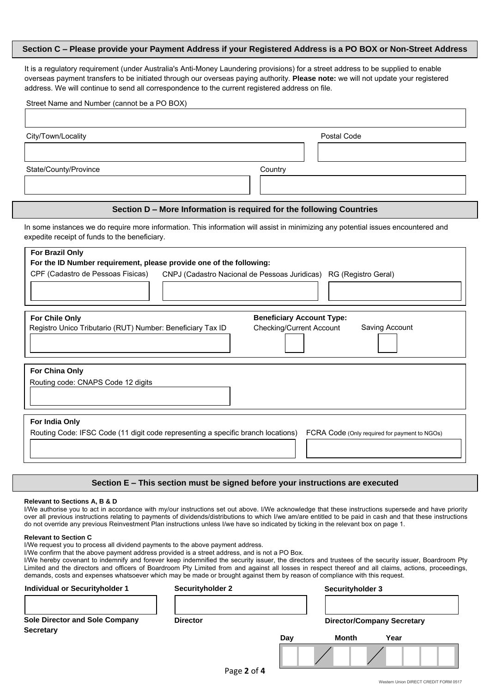### **Section C – Please provide your Payment Address if your Registered Address is a PO BOX or Non-Street Address**

It is a regulatory requirement (under [Australia's Anti-Money Laundering](http://www.ag.gov.au/CrimeAndCorruption/AntiLaunderingCounterTerrorismFinancing/Pages/regime.aspx) provisions) for a street address to be supplied to enable overseas payment transfers to be initiated through our overseas paying authority. **Please note:** we will not update your registered address. We will continue to send all correspondence to the current registered address on file.

| City/Town/Locality                                                           | Postal Code                                                                                                                       |
|------------------------------------------------------------------------------|-----------------------------------------------------------------------------------------------------------------------------------|
| State/County/Province                                                        | Country                                                                                                                           |
|                                                                              | Section D - More Information is required for the following Countries                                                              |
| expedite receipt of funds to the beneficiary.                                | In some instances we do require more information. This information will assist in minimizing any potential issues encountered and |
|                                                                              |                                                                                                                                   |
| For Chile Only<br>Registro Unico Tributario (RUT) Number: Beneficiary Tax ID | <b>Beneficiary Account Type:</b><br><b>Checking/Current Account</b><br>Saving Account                                             |
| For China Only<br>Routing code: CNAPS Code 12 digits                         |                                                                                                                                   |

#### **Section E – This section must be signed before your instructions are executed**

#### **Relevant to Sections A, B & D**

I/We authorise you to act in accordance with my/our instructions set out above. I/We acknowledge that these instructions supersede and have priority over all previous instructions relating to payments of dividends/distributions to which I/we am/are entitled to be paid in cash and that these instructions do not override any previous Reinvestment Plan instructions unless I/we have so indicated by ticking in the relevant box on page 1.

#### **Relevant to Section C**

I/We request you to process all dividend payments to the above payment address.

I/We confirm that the above payment address provided is a street address, and is not a PO Box.

I/We hereby covenant to indemnify and forever keep indemnified the security issuer, the directors and trustees of the security issuer, Boardroom Pty Limited and the directors and officers of Boardroom Pty Limited from and against all losses in respect thereof and all claims, actions, proceedings, demands, costs and expenses whatsoever which may be made or brought against them by reason of compliance with this request.

| Individual or Securityholder 1                            | <b>Securityholder 2</b> |             |                                   | Securityholder 3 |      |  |
|-----------------------------------------------------------|-------------------------|-------------|-----------------------------------|------------------|------|--|
| <b>Sole Director and Sole Company</b><br><b>Secretary</b> | <b>Director</b>         |             | <b>Director/Company Secretary</b> |                  |      |  |
|                                                           |                         |             | Day                               | Month            | Year |  |
|                                                           |                         | Page 2 of 4 |                                   |                  |      |  |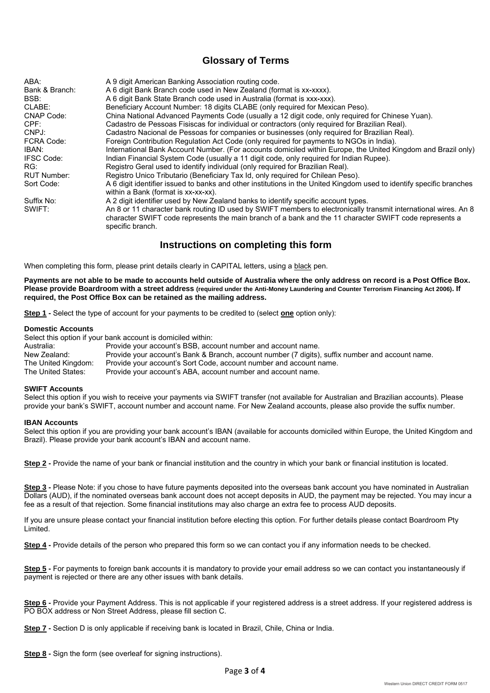## **Glossary of Terms**

| ABA:               | A 9 digit American Banking Association routing code.                                                                                                                                                                                          |
|--------------------|-----------------------------------------------------------------------------------------------------------------------------------------------------------------------------------------------------------------------------------------------|
| Bank & Branch:     | A 6 digit Bank Branch code used in New Zealand (format is xx-xxxx).                                                                                                                                                                           |
| BSB:               | A 6 digit Bank State Branch code used in Australia (format is xxx-xxx).                                                                                                                                                                       |
|                    |                                                                                                                                                                                                                                               |
| CLABE:             | Beneficiary Account Number: 18 digits CLABE (only required for Mexican Peso).                                                                                                                                                                 |
| <b>CNAP Code:</b>  | China National Advanced Payments Code (usually a 12 digit code, only required for Chinese Yuan).                                                                                                                                              |
| CPF:               | Cadastro de Pessoas Fisiscas for individual or contractors (only required for Brazilian Real).                                                                                                                                                |
| CNPJ:              | Cadastro Nacional de Pessoas for companies or businesses (only required for Brazilian Real).                                                                                                                                                  |
| FCRA Code:         | Foreign Contribution Regulation Act Code (only required for payments to NGOs in India).                                                                                                                                                       |
| IBAN:              | International Bank Account Number. (For accounts domiciled within Europe, the United Kingdom and Brazil only)                                                                                                                                 |
| <b>IFSC Code:</b>  | Indian Financial System Code (usually a 11 digit code, only required for Indian Rupee).                                                                                                                                                       |
| RG:                | Registro Geral used to identify individual (only required for Brazilian Real).                                                                                                                                                                |
| <b>RUT Number:</b> | Registro Unico Tributario (Beneficiary Tax Id, only required for Chilean Peso).                                                                                                                                                               |
| Sort Code:         | A 6 digit identifier issued to banks and other institutions in the United Kingdom used to identify specific branches<br>within a Bank (format is xx-xx-xx).                                                                                   |
| Suffix No:         | A 2 digit identifier used by New Zealand banks to identify specific account types.                                                                                                                                                            |
| SWIFT:             | An 8 or 11 character bank routing ID used by SWIFT members to electronically transmit international wires. An 8<br>character SWIFT code represents the main branch of a bank and the 11 character SWIFT code represents a<br>specific branch. |

## **Instructions on completing this form**

When completing this form, please print details clearly in CAPITAL letters, using a black pen.

**Payments are not able to be made to accounts held outside of Australia where the only address on record is a Post Office Box. Please provide Boardroom with a street address (required under the Anti-Money Laundering and Counter Terrorism Financing Act 2006). If required, the Post Office Box can be retained as the mailing address.**

**Step 1 -** Select the type of account for your payments to be credited to (select **one** option only):

#### **Domestic Accounts**

Select this option if your bank account is domiciled within:

| Australia:          | Provide your account's BSB, account number and account name.                                     |
|---------------------|--------------------------------------------------------------------------------------------------|
| New Zealand:        | Provide your account's Bank & Branch, account number (7 digits), suffix number and account name. |
| The United Kingdom: | Provide your account's Sort Code, account number and account name.                               |
| The United States:  | Provide your account's ABA, account number and account name.                                     |

#### **SWIFT Accounts**

Select this option if you wish to receive your payments via SWIFT transfer (not available for Australian and Brazilian accounts). Please provide your bank's SWIFT, account number and account name. For New Zealand accounts, please also provide the suffix number.

#### **IBAN Accounts**

Select this option if you are providing your bank account's IBAN (available for accounts domiciled within Europe, the United Kingdom and Brazil). Please provide your bank account's IBAN and account name.

**Step 2 -** Provide the name of your bank or financial institution and the country in which your bank or financial institution is located.

**Step 3 -** Please Note: if you chose to have future payments deposited into the overseas bank account you have nominated in Australian Dollars (AUD), if the nominated overseas bank account does not accept deposits in AUD, the payment may be rejected. You may incur a fee as a result of that rejection. Some financial institutions may also charge an extra fee to process AUD deposits.

If you are unsure please contact your financial institution before electing this option. For further details please contact Boardroom Pty Limited.

**Step 4 -** Provide details of the person who prepared this form so we can contact you if any information needs to be checked.

**Step 5 -** For payments to foreign bank accounts it is mandatory to provide your email address so we can contact you instantaneously if payment is rejected or there are any other issues with bank details.

**Step 6 -** Provide your Payment Address. This is not applicable if your registered address is a street address. If your registered address is PO BOX address or Non Street Address, please fill section C.

**Step 7 -** Section D is only applicable if receiving bank is located in Brazil, Chile, China or India.

**Step 8 -** Sign the form (see overleaf for signing instructions).